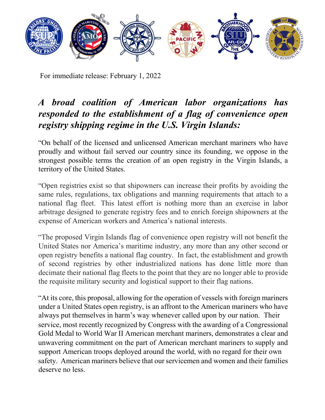

For immediate release: February 1, 2022

## *A broad coalition of American labor organizations has responded to the establishment of a flag of convenience open registry shipping regime in the U.S. Virgin Islands:*

"On behalf of the licensed and unlicensed American merchant mariners who have proudly and without fail served our country since its founding, we oppose in the strongest possible terms the creation of an open registry in the Virgin Islands, a territory of the United States.

"Open registries exist so that shipowners can increase their profits by avoiding the same rules, regulations, tax obligations and manning requirements that attach to a national flag fleet. This latest effort is nothing more than an exercise in labor arbitrage designed to generate registry fees and to enrich foreign shipowners at the expense of American workers and America's national interests.

"The proposed Virgin Islands flag of convenience open registry will not benefit the United States nor America's maritime industry, any more than any other second or open registry benefits a national flag country. In fact, the establishment and growth of second registries by other industrialized nations has done little more than decimate their national flag fleets to the point that they are no longer able to provide the requisite military security and logistical support to their flag nations.

"At its core, this proposal, allowing for the operation of vessels with foreign mariners under a United States open registry, is an affront to the American mariners who have always put themselves in harm's way whenever called upon by our nation. Their service, most recently recognized by Congress with the awarding of a Congressional Gold Medal to World War II American merchant mariners, demonstrates a clear and unwavering commitment on the part of American merchant mariners to supply and support American troops deployed around the world, with no regard for their own safety. American mariners believe that our servicemen and women and their families deserve no less.